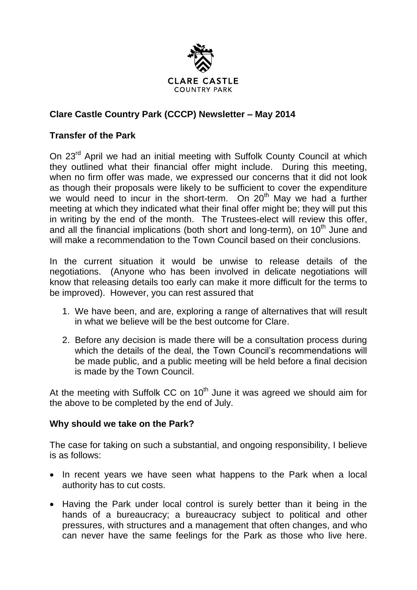

# **Clare Castle Country Park (CCCP) Newsletter – May 2014**

#### **Transfer of the Park**

On 23<sup>rd</sup> April we had an initial meeting with Suffolk County Council at which they outlined what their financial offer might include. During this meeting, when no firm offer was made, we expressed our concerns that it did not look as though their proposals were likely to be sufficient to cover the expenditure we would need to incur in the short-term. On  $20<sup>th</sup>$  May we had a further meeting at which they indicated what their final offer might be; they will put this in writing by the end of the month. The Trustees-elect will review this offer, and all the financial implications (both short and long-term), on  $10<sup>th</sup>$  June and will make a recommendation to the Town Council based on their conclusions.

In the current situation it would be unwise to release details of the negotiations. (Anyone who has been involved in delicate negotiations will know that releasing details too early can make it more difficult for the terms to be improved). However, you can rest assured that

- 1. We have been, and are, exploring a range of alternatives that will result in what we believe will be the best outcome for Clare.
- 2. Before any decision is made there will be a consultation process during which the details of the deal, the Town Council's recommendations will be made public, and a public meeting will be held before a final decision is made by the Town Council.

At the meeting with Suffolk CC on  $10<sup>th</sup>$  June it was agreed we should aim for the above to be completed by the end of July.

#### **Why should we take on the Park?**

The case for taking on such a substantial, and ongoing responsibility, I believe is as follows:

- In recent years we have seen what happens to the Park when a local authority has to cut costs.
- Having the Park under local control is surely better than it being in the hands of a bureaucracy; a bureaucracy subject to political and other pressures, with structures and a management that often changes, and who can never have the same feelings for the Park as those who live here.